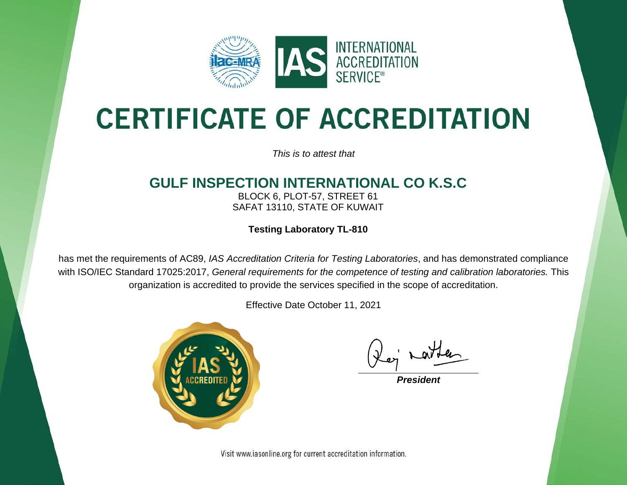

# **CERTIFICATE OF ACCREDITATION**

*This is to attest that*

### **GULF INSPECTION INTERNATIONAL CO K.S.C**

BLOCK 6, PLOT-57, STREET 61 SAFAT 13110, STATE OF KUWAIT

**Testing Laboratory TL-810**

has met the requirements of AC89, *IAS Accreditation Criteria for Testing Laboratories*, and has demonstrated compliance with ISO/IEC Standard 17025:2017, *General requirements for the competence of testing and calibration laboratories.* This organization is accredited to provide the services specified in the scope of accreditation.

Effective Date October 11, 2021



*President*

Visit www.iasonline.org for current accreditation information.